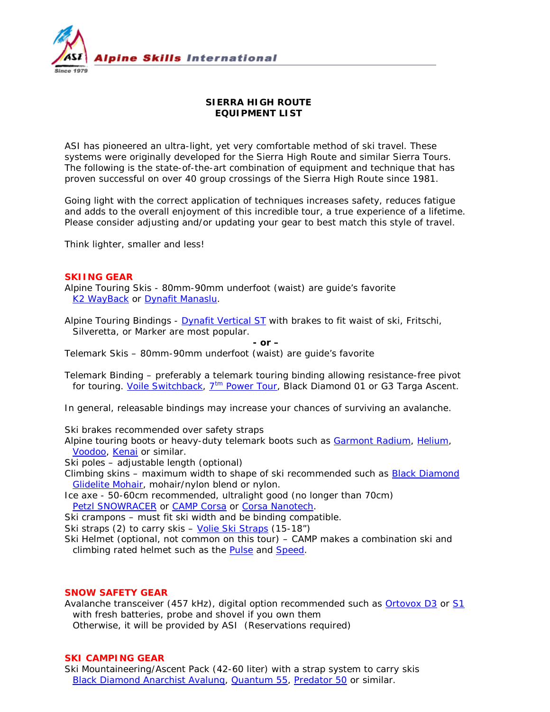

# **SIERRA HIGH ROUTE EQUIPMENT LIST**

ASI has pioneered an ultra-light, yet very comfortable method of ski travel. These systems were originally developed for the Sierra High Route and similar Sierra Tours. The following is *the* state-of-the-art combination of equipment and technique that has proven successful on over 40 group crossings of the Sierra High Route since 1981.

Going light with the correct application of techniques increases safety, reduces fatigue and adds to the overall enjoyment of this incredible tour, a true experience of a lifetime. Please consider adjusting and/or updating your gear to best match this style of travel.

Think lighter, smaller and less!

## **SKIING GEAR**

Alpine Touring Skis - 80mm-90mm underfoot (waist) are guide's favorite [K2 WayBack](http://k2skis.com/skis/backside/wayback) or [Dynafit Manaslu.](http://www.dynafit.com/uk/4/675/48221-FT_Manaslu.html)

Alpine Touring Bindings - Dynafit [Vertical ST](http://www.dynafit.com/uk/4/674/48703-TLT_Vertical_ST_with_92_mm_Stopper.html) with brakes to fit waist of ski, Fritschi, Silveretta, or Marker are most popular.

*- or –*

Telemark Skis – 80mm-90mm underfoot (waist) are guide's favorite

Telemark Binding – preferably a telemark touring binding allowing resistance-free pivot for touring. [Voile Switchback,](http://www.voile-usa.com/Merchant2/merchant.mvc?Screen=PROD&Product_Code=608-110&Category_Code=Off-Piste&Product_Count=0)  $7<sup>tm</sup>$  [Power Tour,](http://www.garmontusa.com/tm005.html) Black Diamond 01 or G3 Targa Ascent.

*In general, releasable bindings may increase your chances of surviving an avalanche.* 

Ski brakes recommended over safety straps

Alpine touring boots or heavy-duty telemark boots such as [Garmont Radium,](http://www.garmontusa.com/921025211.html) [Helium,](http://www.garmontusa.com/921027211.html) [Voodoo,](http://www.garmontusa.com/921003211.html) [Kenai](http://www.garmontusa.com/921007211.html) or similar.

Ski poles – adjustable length (optional)

Climbing skins – maximum width to shape of ski recommended such as [Black Diamond](http://www.blackdiamondequipment.com/en-us/shop/ski/skins/glidelite-mohair-pure-custom-sts)  [Glidelite Mohair,](http://www.blackdiamondequipment.com/en-us/shop/ski/skins/glidelite-mohair-pure-custom-sts) mohair/nylon blend or nylon.

Ice axe - 50-60cm recommended, ultralight good (no longer than 70cm) [Petzl SNOWRACER](http://www.petzl.com/en/outdoor/glacier-travel-ice-axes/snowracer) or [CAMP Corsa](http://www.camp-usa.com/products/ice-axes/corsa.asp) or [Corsa Nanotech.](http://www.camp-usa.com/products/ice-axes/corsa-nanotech.asp)

Ski crampons – must fit ski width and be binding compatible.

Ski straps (2) to carry skis – [Volie Ski Straps](http://www.voile-usa.com/Merchant2/merchant.mvc?Screen=PROD&Product_Code=800&Category_Code=VSS&Product_Count=0) (15-18")

Ski Helmet (optional, not common on this tour) – CAMP makes a combination ski and climbing rated helmet such as the [Pulse](http://www.camp-usa.com/products/helmets/pulse-white-with-winter-kit.asp) and [Speed.](http://www.camp-usa.com/products/helmets/speed-green-239.asp)

## **SNOW SAFETY GEAR**

Avalanche transceiver (457 kHz), digital option recommended such as **Ortovox D3** or [S1](http://en.ortovox.com/transceiver/s1.html) with fresh batteries, probe and shovel if you own them Otherwise, it will be provided by ASI *(Reservations required)*

## **SKI CAMPING GEAR**

Ski Mountaineering/Ascent Pack (42-60 liter) with a strap system to carry skis [Black Diamond Anarchist](http://www.blackdiamondequipment.com/en-us/shop/ski/snow-packs/anarchist-avalung) Avalung, [Quantum](http://www.blackdiamondequipment.com/en-us/shop/mountain/packs/quantum-55) 55, [Predator 50](http://www.blackdiamondequipment.com/en-us/shop/mountain/packs/predator-50) or similar.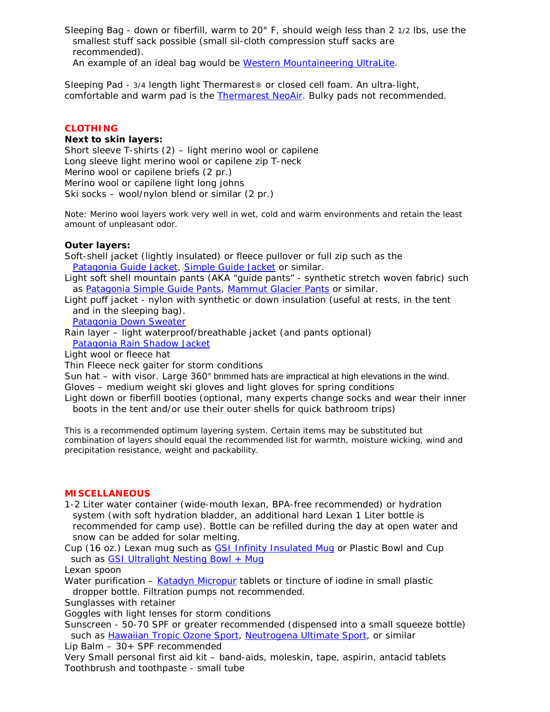Sleeping Bag - down or fiberfill, warm to 20° F, should weigh less than 2 1/2 lbs, use the smallest stuff sack possible (small sil-cloth compression stuff sacks are recommended). An example of an ideal bag would be [Western Mountaineering](http://www.westernmountaineering.com/index.cfm?section=Products&page=Sleeping%20Bags&cat=ExtremeLite%20Series&viewpost=2&ContentId=17) UltraLite.

Sleeping Pad - 3/4 length light Thermarest® or closed cell foam. An ultra-light, comfortable and warm pad is the **Thermarest NeoAir**. Bulky pads not recommended.

## **CLOTHING**

#### **Next to skin layers:**

Short sleeve T-shirts (2) – light merino wool or capilene Long sleeve light merino wool or capilene zip T-neck Merino wool or capilene briefs (2 pr.) Merino wool or capilene light long johns Ski socks – wool/nylon blend or similar (2 pr.)

*Note: Merino wool layers work very well in wet, cold and warm environments and retain the least amount of unpleasant odor.*

### **Outer layers:**

Soft-shell jacket (lightly insulated) or fleece pullover or full zip such as the [Patagonia Guide Jacket,](http://www.patagonia.com/web/us/product/patagonia-mens-guide-jacket?p=83150-0-763) [Simple Guide Jacket](http://www.patagonia.com/web/us/product/patagonia-mens-simple-guide-jacket?p=83745-0-803) or similar.

Light soft shell mountain pants (AKA "guide pants" - synthetic stretch woven fabric) such as [Patagonia Simple Guide Pants,](http://www.patagonia.com/web/us/product/patagonia-mens-simple-guide-pants?p=83183-0-155) [Mammut Glacier Pants](http://www.mammut.ch/en/productDetail/102005450_v_0001_44/Glacier+Pants+Men.html) or similar.

Light puff jacket - nylon with synthetic or down insulation (useful at rests, in the tent and in the sleeping bag).

[Patagonia Down Sweater](http://www.patagonia.com/web/us/product/patagonia-mens-down-sweater?p=84673-0-803)

Rain layer – light waterproof/breathable jacket (and pants optional) [Patagonia Rain Shadow Jacket](http://www.patagonia.com/web/us/product/patagonia-mens-rain-shadow-jacket?p=84474-0-806)

Light wool or fleece hat

Thin Fleece neck gaiter for storm conditions

Sun hat – with visor. Large 360° brimmed hats are impractical at high elevations in the wind.

Gloves – medium weight ski gloves and light gloves for spring conditions

Light down or fiberfill booties (optional, many experts change socks and wear their inner boots in the tent and/or use their outer shells for quick bathroom trips)

*This is a recommended optimum layering system. Certain items may be substituted but combination of layers should equal the recommended list for warmth, moisture wicking, wind and precipitation resistance, weight and packability.*

#### **MISCELLANEOUS**

1-2 Liter water container (wide-mouth lexan, BPA-free recommended) or hydration system (with soft hydration bladder, an additional hard Lexan 1 Liter bottle is recommended for camp use). Bottle can be refilled during the day at open water and snow can be added for solar melting.

Cup (16 oz.) Lexan mug such as [GSI Infinity Insulated Mug](http://www.gsioutdoors.com/detail.aspx?c=6&sc2=68&p=75233&lu=%2flist.aspx%3fc%3d6%26sc2%3d68%26p%3d1%26&) or Plastic Bowl and Cup such as **GSI Ultralight Nesting Bowl + Mug** 

Lexan spoon

Water purification – [Katadyn Micropur](http://www.waterfilters.net/Water-Purification-Tablets-Katadyn-Micropur_p_389-344.html) tablets or tincture of iodine in small plastic dropper bottle. Filtration pumps not recommended.

Sunglasses with retainer

Goggles with light lenses for storm conditions

Sunscreen - 50-70 SPF or greater recommended (dispensed into a small squeeze bottle) such as [Hawaiian Tropic Ozone Sport,](http://www.hawaiiantropic.com/SunProtection/Sport-Protection.aspx) [Neutrogena Ultimate Sport,](http://www.neutrogena.com/econsumer/ntg/productdetail.browse?segment=men&catId=3&subCatId=9&productId=483&target=/products/face/ultimate-sport-lotion-spf-70.jsp) or similar

Lip Balm – 30+ SPF recommended

Very Small personal first aid kit – band-aids, moleskin, tape, aspirin, antacid tablets Toothbrush and toothpaste - small tube